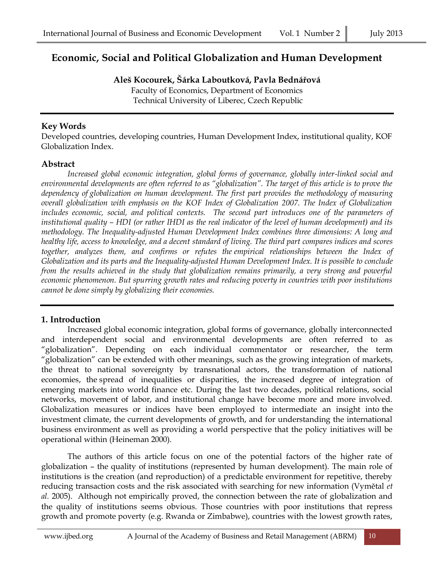# **Economic, Social and Political Globalization and Human Development**

**Aleš Kocourek, Šárka Laboutková, Pavla Bednářová**

Faculty of Economics, Department of Economics Technical University of Liberec, Czech Republic

# **Key Words**

Developed countries, developing countries, Human Development Index, institutional quality, KOF Globalization Index.

# **Abstract**

*Increased global economic integration, global forms of governance, globally inter-linked social and environmental developments are often referred to as "globalization". The target of this article is to prove the dependency of globalization on human development. The first part provides the methodology of measuring overall globalization with emphasis on the KOF Index of Globalization 2007. The Index of Globalization includes economic, social, and political contexts. The second part introduces one of the parameters of institutional quality – HDI (or rather IHDI as the real indicator of the level of human development) and its methodology. The Inequality-adjusted Human Development Index combines three dimensions: A long and healthy life, access to knowledge, and a decent standard of living. The third part compares indices and scores together, analyzes them, and confirms or refutes the empirical relationships between the Index of Globalization and its parts and the Inequality-adjusted Human Development Index. It is possible to conclude from the results achieved in the study that globalization remains primarily, a very strong and powerful economic phenomenon. But spurring growth rates and reducing poverty in countries with poor institutions cannot be done simply by globalizing their economies.*

# **1. Introduction**

Increased global economic integration, global forms of governance, globally interconnected and interdependent social and environmental developments are often referred to as "globalization". Depending on each individual commentator or researcher, the term "globalization" can be extended with other meanings, such as the growing integration of markets, the threat to national sovereignty by transnational actors, the transformation of national economies, the spread of inequalities or disparities, the increased degree of integration of emerging markets into world finance etc. During the last two decades, political relations, social networks, movement of labor, and institutional change have become more and more involved. Globalization measures or indices have been employed to intermediate an insight into the investment climate, the current developments of growth, and for understanding the international business environment as well as providing a world perspective that the policy initiatives will be operational within (Heineman 2000).

The authors of this article focus on one of the potential factors of the higher rate of globalization – the quality of institutions (represented by human development). The main role of institutions is the creation (and reproduction) of a predictable environment for repetitive, thereby reducing transaction costs and the risk associated with searching for new information (Vymětal *et al.* 2005). Although not empirically proved, the connection between the rate of globalization and the quality of institutions seems obvious. Those countries with poor institutions that repress growth and promote poverty (e.g. Rwanda or Zimbabwe), countries with the lowest growth rates,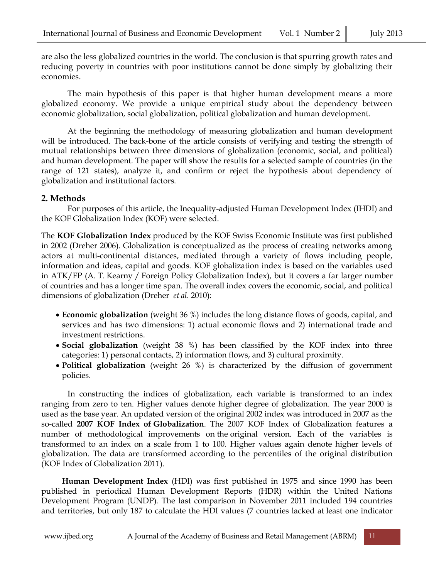are also the less globalized countries in the world. The conclusion is that spurring growth rates and reducing poverty in countries with poor institutions cannot be done simply by globalizing their economies.

The main hypothesis of this paper is that higher human development means a more globalized economy. We provide a unique empirical study about the dependency between economic globalization, social globalization, political globalization and human development.

At the beginning the methodology of measuring globalization and human development will be introduced. The back-bone of the article consists of verifying and testing the strength of mutual relationships between three dimensions of globalization (economic, social, and political) and human development. The paper will show the results for a selected sample of countries (in the range of 121 states), analyze it, and confirm or reject the hypothesis about dependency of globalization and institutional factors.

### **2. Methods**

For purposes of this article, the Inequality-adjusted Human Development Index (IHDI) and the KOF Globalization Index (KOF) were selected.

The **KOF Globalization Index** produced by the KOF Swiss Economic Institute was first published in 2002 (Dreher 2006). Globalization is conceptualized as the process of creating networks among actors at multi-continental distances, mediated through a variety of flows including people, information and ideas, capital and goods. KOF globalization index is based on the variables used in ATK/FP (A. T. Kearny / Foreign Policy Globalization Index), but it covers a far larger number of countries and has a longer time span. The overall index covers the economic, social, and political dimensions of globalization (Dreher *et al*. 2010):

- **Economic globalization** (weight 36 %) includes the long distance flows of goods, capital, and services and has two dimensions: 1) actual economic flows and 2) international trade and investment restrictions.
- **Social globalization** (weight 38 %) has been classified by the KOF index into three categories: 1) personal contacts, 2) information flows, and 3) cultural proximity.
- **Political globalization** (weight 26 %) is characterized by the diffusion of government policies.

In constructing the indices of globalization, each variable is transformed to an index ranging from zero to ten. Higher values denote higher degree of globalization. The year 2000 is used as the base year. An updated version of the original 2002 index was introduced in 2007 as the so-called **2007 KOF Index of Globalization**. The 2007 KOF Index of Globalization features a number of methodological improvements on the original version. Each of the variables is transformed to an index on a scale from 1 to 100. Higher values again denote higher levels of globalization. The data are transformed according to the percentiles of the original distribution (KOF Index of Globalization 2011).

**Human Development Index** (HDI) was first published in 1975 and since 1990 has been published in periodical Human Development Reports (HDR) within the United Nations Development Program (UNDP). The last comparison in November 2011 included 194 countries and territories, but only 187 to calculate the HDI values (7 countries lacked at least one indicator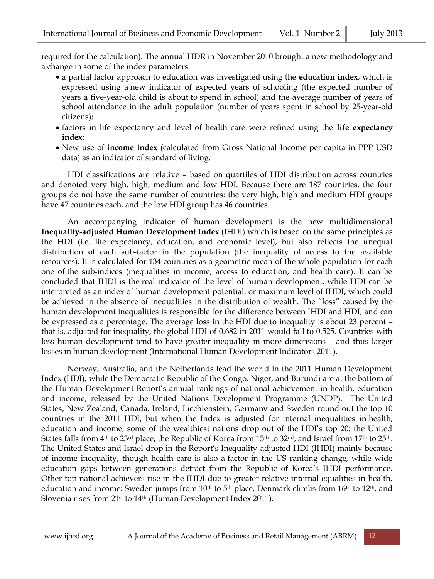required for the calculation). The annual HDR in November 2010 brought a new methodology and a change in some of the index parameters:

- a partial factor approach to education was investigated using the **education index**, which is expressed using a new indicator of expected years of schooling (the expected number of years a five-year-old child is about to spend in school) and the average number of years of school attendance in the adult population (number of years spent in school by 25-year-old citizens);
- factors in life expectancy and level of health care were refined using the **life expectancy index**;
- New use of **income index** (calculated from Gross National Income per capita in PPP USD data) as an indicator of standard of living.

HDI classifications are relative – based on quartiles of HDI distribution across countries and denoted very high, high, medium and low HDI. Because there are 187 countries, the four groups do not have the same number of countries: the very high, high and medium HDI groups have 47 countries each, and the low HDI group has 46 countries.

An accompanying indicator of human development is the new multidimensional **Inequality-adjusted Human Development Index** (IHDI) which is based on the same principles as the HDI (i.e. life expectancy, education, and economic level), but also reflects the unequal distribution of each sub-factor in the population (the inequality of access to the available resources). It is calculated for 134 countries as a geometric mean of the whole population for each one of the sub-indices (inequalities in income, access to education, and health care). It can be concluded that IHDI is the real indicator of the level of human development, while HDI can be interpreted as an index of human development potential, or maximum level of IHDI, which could be achieved in the absence of inequalities in the distribution of wealth. The "loss" caused by the human development inequalities is responsible for the difference between IHDI and HDI, and can be expressed as a percentage. The average loss in the HDI due to inequality is about 23 percent – that is, adjusted for inequality, the global HDI of 0.682 in 2011 would fall to 0.525. Countries with less human development tend to have greater inequality in more dimensions – and thus larger losses in human development (International Human Development Indicators 2011).

Norway, Australia, and the Netherlands lead the world in the 2011 Human Development Index (HDI), while the Democratic Republic of the Congo, Niger, and Burundi are at the bottom of the Human Development Report's annual rankings of national achievement in health, education and income, released by the United Nations Development Programme (UNDP). The United States, New Zealand, Canada, Ireland, Liechtenstein, Germany and Sweden round out the top 10 countries in the 2011 HDI, but when the Index is adjusted for internal inequalities in health, education and income, some of the wealthiest nations drop out of the HDI's top 20: the United States falls from 4<sup>th</sup> to 23<sup>rd</sup> place, the Republic of Korea from 15<sup>th</sup> to 32<sup>nd</sup>, and Israel from 17<sup>th</sup> to 25<sup>th</sup>. The United States and Israel drop in the Report's Inequality-adjusted HDI (IHDI) mainly because of income inequality, though health care is also a factor in the US ranking change, while wide education gaps between generations detract from the Republic of Korea's IHDI performance. Other top national achievers rise in the IHDI due to greater relative internal equalities in health, education and income: Sweden jumps from 10<sup>th</sup> to 5<sup>th</sup> place, Denmark climbs from 16<sup>th</sup> to 12<sup>th</sup>, and Slovenia rises from 21st to 14th (Human Development Index 2011).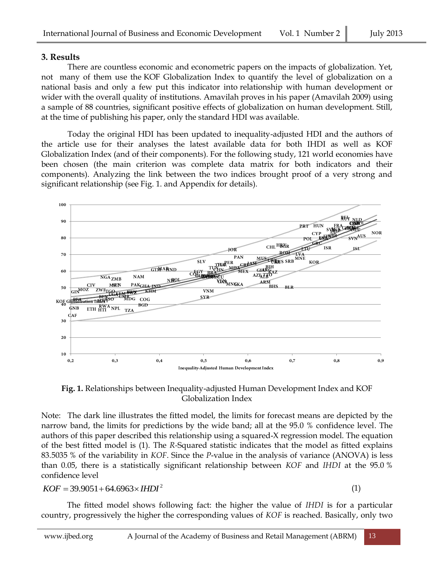#### **3. Results**

There are countless economic and econometric papers on the impacts of globalization. Yet, not many of them use the KOF Globalization Index to quantify the level of globalization on a national basis and only a few put this indicator into relationship with human development or wider with the overall quality of institutions. Amavilah proves in his paper (Amavilah 2009) using a sample of 88 countries, significant positive effects of globalization on human development. Still, at the time of publishing his paper, only the standard HDI was available.

Today the original HDI has been updated to inequality-adjusted HDI and the authors of the article use for their analyses the latest available data for both IHDI as well as KOF Globalization Index (and of their components). For the following study, 121 world economies have been chosen (the main criterion was complete data matrix for both indicators and their components). Analyzing the link between the two indices brought proof of a very strong and significant relationship (see Fig. 1. and Appendix for details).



**Fig. 1.** Relationships between Inequality-adjusted Human Development Index and KOF Globalization Index

Note: The dark line illustrates the fitted model, the limits for forecast means are depicted by the narrow band, the limits for predictions by the wide band; all at the 95.0 % confidence level. The authors of this paper described this relationship using a squared-X regression model. The equation of the best fitted model is (1). The *R-*Squared statistic indicates that the model as fitted explains 83.5035 % of the variability in *KOF*. Since the *P*-value in the analysis of variance (ANOVA) is less than 0.05, there is a statistically significant relationship between *KOF* and *IHDI* at the 95.0 % confidence level

 $KOF = 39.9051 + 64.6963 \times HDI^2$ 

(1)

The fitted model shows following fact: the higher the value of *IHDI* is for a particular country, progressively the higher the corresponding values of *KOF* is reached. Basically, only two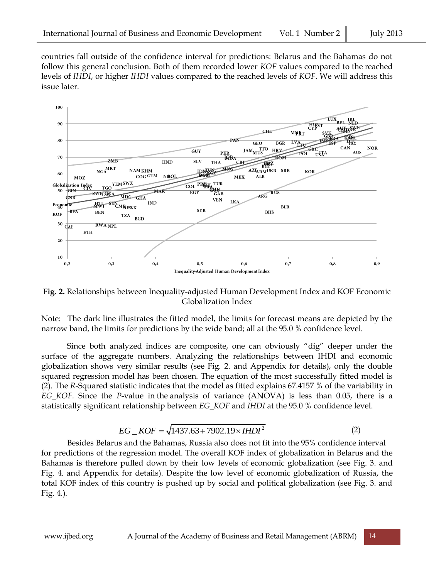countries fall outside of the confidence interval for predictions: Belarus and the Bahamas do not follow this general conclusion. Both of them recorded lower *KOF* values compared to the reached levels of *IHDI*, or higher *IHDI* values compared to the reached levels of *KOF*. We will address this issue later.



**Fig. 2.** Relationships between Inequality-adjusted Human Development Index and KOF Economic Globalization Index

Note: The dark line illustrates the fitted model, the limits for forecast means are depicted by the narrow band, the limits for predictions by the wide band; all at the 95.0 % confidence level.

Since both analyzed indices are composite, one can obviously "dig" deeper under the surface of the aggregate numbers. Analyzing the relationships between IHDI and economic globalization shows very similar results (see Fig. 2. and Appendix for details), only the double squared regression model has been chosen. The equation of the most successfully fitted model is (2). The *R-*Squared statistic indicates that the model as fitted explains 67.4157 % of the variability in *EG\_KOF*. Since the *P*-value in the analysis of variance (ANOVA) is less than 0.05, there is a statistically significant relationship between *EG\_KOF* and *IHDI* at the 95.0 % confidence level.

$$
EG\_KOF = \sqrt{1437.63 + 7902.19 \times HDDI^2}
$$
 (2)

Besides Belarus and the Bahamas, Russia also does not fit into the 95% confidence interval for predictions of the regression model. The overall KOF index of globalization in Belarus and the Bahamas is therefore pulled down by their low levels of economic globalization (see Fig. 3. and Fig. 4. and Appendix for details). Despite the low level of economic globalization of Russia, the total KOF index of this country is pushed up by social and political globalization (see Fig. 3. and Fig. 4.).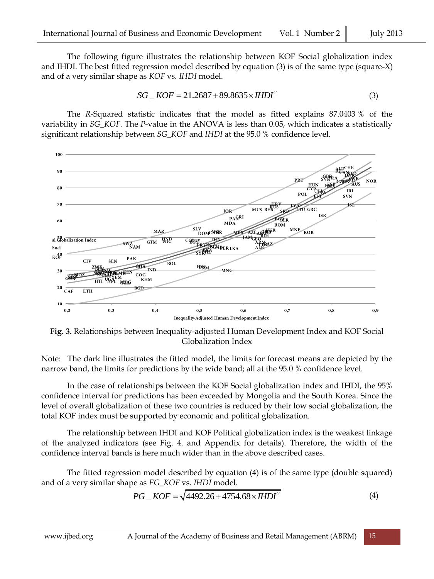The following figure illustrates the relationship between KOF Social globalization index and IHDI. The best fitted regression model described by equation (3) is of the same type (square-X) and of a very similar shape as *KOF* vs. *IHDI* model.

$$
SG\_KOF = 21.2687 + 89.8635 \times IHDI2
$$
 (3)

The *R-*Squared statistic indicates that the model as fitted explains 87.0403 % of the variability in *SG\_KOF*. The *P*-value in the ANOVA is less than 0.05, which indicates a statistically significant relationship between *SG\_KOF* and *IHDI* at the 95.0 % confidence level.



**Fig. 3.** Relationships between Inequality-adjusted Human Development Index and KOF Social Globalization Index

Note: The dark line illustrates the fitted model, the limits for forecast means are depicted by the narrow band, the limits for predictions by the wide band; all at the 95.0 % confidence level.

In the case of relationships between the KOF Social globalization index and IHDI, the 95% confidence interval for predictions has been exceeded by Mongolia and the South Korea. Since the level of overall globalization of these two countries is reduced by their low social globalization, the total KOF index must be supported by economic and political globalization.

The relationship between IHDI and KOF Political globalization index is the weakest linkage of the analyzed indicators (see Fig. 4. and Appendix for details). Therefore, the width of the confidence interval bands is here much wider than in the above described cases.

The fitted regression model described by equation (4) is of the same type (double squared) and of a very similar shape as *EG\_KOF* vs. *IHDI* model.<br> $PG\_KOF = \sqrt{4492.26 + 4754.68 \times HDDI^2}$ 

$$
PG\_KOF = \sqrt{4492.26 + 4754.68 \times HDD^{2}}
$$
 (4)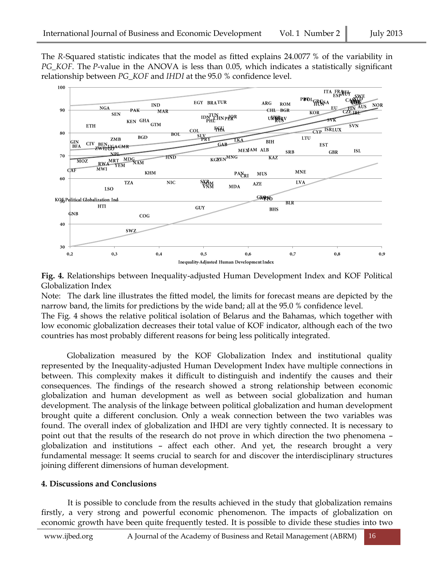The *R-*Squared statistic indicates that the model as fitted explains 24.0077 % of the variability in *PG\_KOF*. The *P*-value in the ANOVA is less than 0.05, which indicates a statistically significant relationship between *PG\_KOF* and *IHDI* at the 95.0 % confidence level.



**Fig. 4.** Relationships between Inequality-adjusted Human Development Index and KOF Political Globalization Index

Note: The dark line illustrates the fitted model, the limits for forecast means are depicted by the narrow band, the limits for predictions by the wide band; all at the 95.0 % confidence level.

The Fig. 4 shows the relative political isolation of Belarus and the Bahamas, which together with low economic globalization decreases their total value of KOF indicator, although each of the two countries has most probably different reasons for being less politically integrated.

Globalization measured by the KOF Globalization Index and institutional quality represented by the Inequality-adjusted Human Development Index have multiple connections in between. This complexity makes it difficult to distinguish and indentify the causes and their consequences. The findings of the research showed a strong relationship between economic globalization and human development as well as between social globalization and human development. The analysis of the linkage between political globalization and human development brought quite a different conclusion. Only a weak connection between the two variables was found. The overall index of globalization and IHDI are very tightly connected. It is necessary to point out that the results of the research do not prove in which direction the two phenomena – globalization and institutions – affect each other. And yet, the research brought a very fundamental message: It seems crucial to search for and discover the interdisciplinary structures joining different dimensions of human development.

#### **4. Discussions and Conclusions**

It is possible to conclude from the results achieved in the study that globalization remains firstly, a very strong and powerful economic phenomenon. The impacts of globalization on economic growth have been quite frequently tested. It is possible to divide these studies into two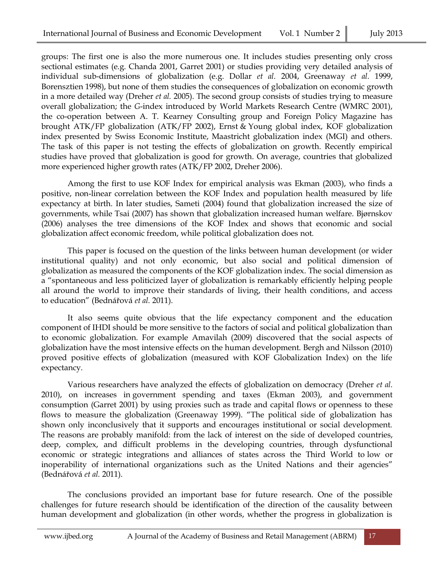groups: The first one is also the more numerous one. It includes studies presenting only cross sectional estimates (e.g. Chanda 2001, Garret 2001) or studies providing very detailed analysis of individual sub-dimensions of globalization (e.g. Dollar *et al.* 2004, Greenaway *et al.* 1999, Borensztien 1998), but none of them studies the consequences of globalization on economic growth in a more detailed way (Dreher *et al.* 2005). The second group consists of studies trying to measure overall globalization; the *G*-index introduced by World Markets Research Centre (WMRC 2001), the co-operation between A. T. Kearney Consulting group and Foreign Policy Magazine has brought ATK/FP globalization (ATK/FP 2002), Ernst & Young global index, KOF globalization index presented by Swiss Economic Institute, Maastricht globalization index (MGI) and others. The task of this paper is not testing the effects of globalization on growth. Recently empirical studies have proved that globalization is good for growth. On average, countries that globalized more experienced higher growth rates (ATK/FP 2002, Dreher 2006).

Among the first to use KOF Index for empirical analysis was Ekman (2003), who finds a positive, non-linear correlation between the KOF Index and population health measured by life expectancy at birth. In later studies, Sameti (2004) found that globalization increased the size of governments, while Tsai (2007) has shown that globalization increased human welfare. Bjørnskov (2006) analyses the tree dimensions of the KOF Index and shows that economic and social globalization affect economic freedom, while political globalization does not.

This paper is focused on the question of the links between human development (or wider institutional quality) and not only economic, but also social and political dimension of globalization as measured the components of the KOF globalization index. The social dimension as a "spontaneous and less politicized layer of globalization is remarkably efficiently helping people all around the world to improve their standards of living, their health conditions, and access to education" (Bednářová *et al.* 2011).

It also seems quite obvious that the life expectancy component and the education component of IHDI should be more sensitive to the factors of social and political globalization than to economic globalization. For example Amavilah (2009) discovered that the social aspects of globalization have the most intensive effects on the human development. Bergh and Nilsson (2010) proved positive effects of globalization (measured with KOF Globalization Index) on the life expectancy.

Various researchers have analyzed the effects of globalization on democracy (Dreher *et al.* 2010), on increases in government spending and taxes (Ekman 2003), and government consumption (Garret 2001) by using proxies such as trade and capital flows or openness to these flows to measure the globalization (Greenaway 1999). "The political side of globalization has shown only inconclusively that it supports and encourages institutional or social development. The reasons are probably manifold: from the lack of interest on the side of developed countries, deep, complex, and difficult problems in the developing countries, through dysfunctional economic or strategic integrations and alliances of states across the Third World to low or inoperability of international organizations such as the United Nations and their agencies" (Bednářová *et al.* 2011).

The conclusions provided an important base for future research. One of the possible challenges for future research should be identification of the direction of the causality between human development and globalization (in other words, whether the progress in globalization is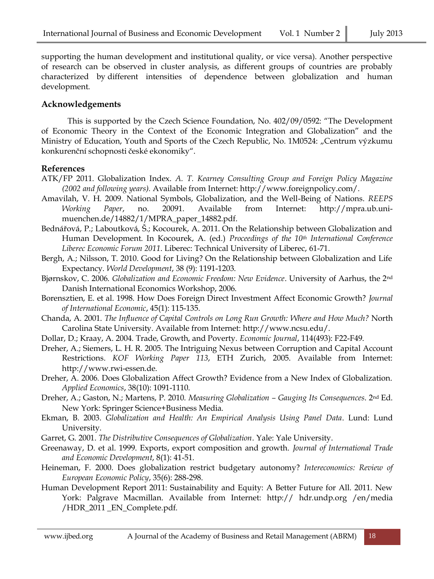supporting the human development and institutional quality, or vice versa). Another perspective of research can be observed in cluster analysis, as different groups of countries are probably characterized by different intensities of dependence between globalization and human development.

## **Acknowledgements**

This is supported by the Czech Science Foundation, No. 402/09/0592: "The Development of Economic Theory in the Context of the Economic Integration and Globalization" and the Ministry of Education, Youth and Sports of the Czech Republic, No. 1M0524: "Centrum výzkumu konkurenční schopnosti české ekonomiky".

#### **References**

- ATK/FP 2011. Globalization Index. *A. T. Kearney Consulting Group and Foreign Policy Magazine (2002 and following years).* Available from Internet: http://www.foreignpolicy.com/.
- Amavilah, V. H. 2009. National Symbols, Globalization, and the Well-Being of Nations. *REEPS Working Paper*, no. 20091. Available from Internet: http://mpra.ub.unimuenchen.de/14882/1/MPRA\_paper\_14882.pdf.
- Bednářová, P.; Laboutková, Š.; Kocourek, A. 2011. On the Relationship between Globalization and Human Development. In Kocourek, A. (ed.) *Proceedings of the 10th International Conference Liberec Economic Forum 2011*. Liberec: Technical University of Liberec, 61-71.
- Bergh, A.; Nilsson, T. 2010. Good for Living? On the Relationship between Globalization and Life Expectancy. *World Development*, 38 (9): 1191-1203.
- Bjørnskov, C. 2006. *Globalization and Economic Freedom: New Evidence*. University of Aarhus, the 2nd Danish International Economics Workshop, 2006.
- Borensztien, E. et al. 1998. How Does Foreign Direct Investment Affect Economic Growth? *Journal of International Economic*, 45(1): 115-135.
- Chanda, A. 2001. *The Influence of Capital Controls on Long Run Growth: Where and How Much?* North Carolina State University. Available from Internet: http://www.ncsu.edu/.
- Dollar, D.; Kraay, A. 2004. Trade, Growth, and Poverty. *Economic Journal*, 114(493): F22-F49.
- Dreher, A.; Siemers, L. H. R. 2005. The Intriguing Nexus between Corruption and Capital Account Restrictions. *KOF Working Paper 113*, ETH Zurich, 2005. Available from Internet: http://www.rwi-essen.de.
- Dreher, A. 2006. Does Globalization Affect Growth? Evidence from a New Index of Globalization. *Applied Economics*, 38(10): 1091-1110.
- Dreher, A.; Gaston, N.; Martens, P. 2010. *Measuring Globalization – Gauging Its Consequences*. 2nd Ed. New York: Springer Science+Business Media.
- Ekman, B. 2003. *Globalization and Health: An Empirical Analysis Using Panel Data*. Lund: Lund University.
- Garret, G. 2001. *The Distributive Consequences of Globalization*. Yale: Yale University.
- Greenaway, D. et al. 1999. Exports, export composition and growth. *Journal of International Trade and Economic Development*, 8(1): 41-51.
- Heineman, F. 2000. Does globalization restrict budgetary autonomy? *Intereconomics: Review of European Economic Policy*, 35(6): 288-298.
- Human Development Report 2011: Sustainability and Equity: A Better Future for All. 2011. New York: Palgrave Macmillan. Available from Internet: http:// hdr.undp.org /en/media /HDR\_2011 \_EN\_Complete.pdf.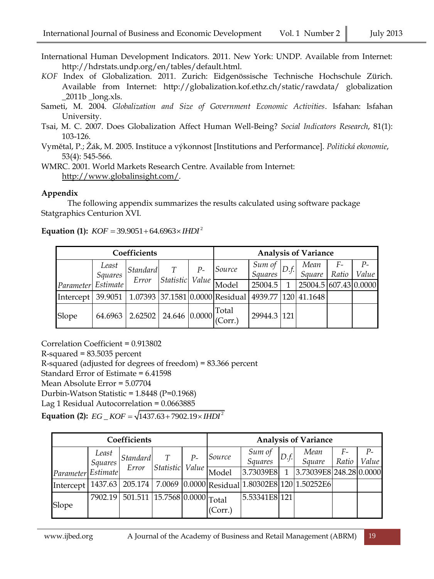- International Human Development Indicators*.* 2011. New York: UNDP. Available from Internet: http://hdrstats.undp.org/en/tables/default.html.
- *KOF* Index of Globalization. 2011. Zurich: Eidgenössische Technische Hochschule Zürich. Available from Internet: http://globalization.kof.ethz.ch/static/rawdata/ globalization  $\_2011b$   $\_long.xls$ .
- Sameti, M. 2004. *Globalization and Size of Government Economic Activities*. Isfahan: Isfahan University.
- Tsai, M. C. 2007. Does Globalization Affect Human Well-Being? *Social Indicators Research*, 81(1): 103-126.
- Vymětal, P.; Žák, M. 2005. Instituce a výkonnost [Institutions and Performance]. *Politická ekonomie*, 53(4): 545-566.

WMRC. 2001. World Markets Research Centre. Available from Internet: [http://www.globalinsight.com/.](http://www.globalinsight.com/)

#### **Appendix**

The following appendix summarizes the results calculated using software package Statgraphics Centurion XVI.

# **Equation (1):**  $KOF = 39.9051 + 64.6963 \times \text{IHDI}^2$

| Coefficients |                  |          |                                                                       |      | <b>Analysis of Variance</b>                                               |                     |              |                       |             |               |  |
|--------------|------------------|----------|-----------------------------------------------------------------------|------|---------------------------------------------------------------------------|---------------------|--------------|-----------------------|-------------|---------------|--|
|              | Least<br>Squares | Standard | T                                                                     | $P-$ | Source                                                                    | Sum of  <br>Squares | D.f.         | Mean<br>Square        | F-<br>Ratio | $P-$<br>Value |  |
| Parameter    | Estimate         | Error    | Statistic Value                                                       |      | Model                                                                     | 25004.5             | $\mathbf{1}$ | 25004.5 607.43 0.0000 |             |               |  |
| Intercept    |                  |          |                                                                       |      | 39.9051   1.07393   37.1581   0.0000   Residual   4939.77   120   41.1648 |                     |              |                       |             |               |  |
| Slope        | 64.6963          | 2.62502  | $\begin{array}{c c} \hline 1 & 24.646 & 0.0000 & (Corr.) \end{array}$ |      |                                                                           | 29944.3 121         |              |                       |             |               |  |

Correlation Coefficient = 0.913802 R-squared = 83.5035 percent R-squared (adjusted for degrees of freedom) = 83.366 percent Standard Error of Estimate = 6.41598 Mean Absolute Error = 5.07704 Durbin-Watson Statistic = 1.8448 (P=0.1968) Lag 1 Residual Autocorrelation = 0.0663885 Lag 1 Residual Autocorrelation = 0.0663885<br>**Equation (2):**  $EG\_KOF = \sqrt{1437.63 + 7902.19 \times IHDI^2}$ 

| Coefficients |                  |                                       |           |               | <b>Analysis of Variance</b> |                                                                |      |                         |               |             |  |
|--------------|------------------|---------------------------------------|-----------|---------------|-----------------------------|----------------------------------------------------------------|------|-------------------------|---------------|-------------|--|
|              | Least<br>Squares | Standard<br>Error                     | Statistic | $P-$<br>Value | Source                      | Sum of<br>Squares                                              | D.f. | Mean<br>Square          | $F-$<br>Ratio | P-<br>Value |  |
| Parameter    | Estimate         |                                       |           |               | Model                       | 3.73039E8                                                      | 1    | 3.73039E8 248.28 0.0000 |               |             |  |
| Intercept    |                  |                                       |           |               |                             | 1437.63 205.174 7.0069 0.0000 Residual 1.80302E8 120 1.50252E6 |      |                         |               |             |  |
| Slope        | 7902.19          | $\sqrt{501.511}$ 15.7568 0.0000 Total |           |               | (Corr.)                     | 5.53341E8 121                                                  |      |                         |               |             |  |